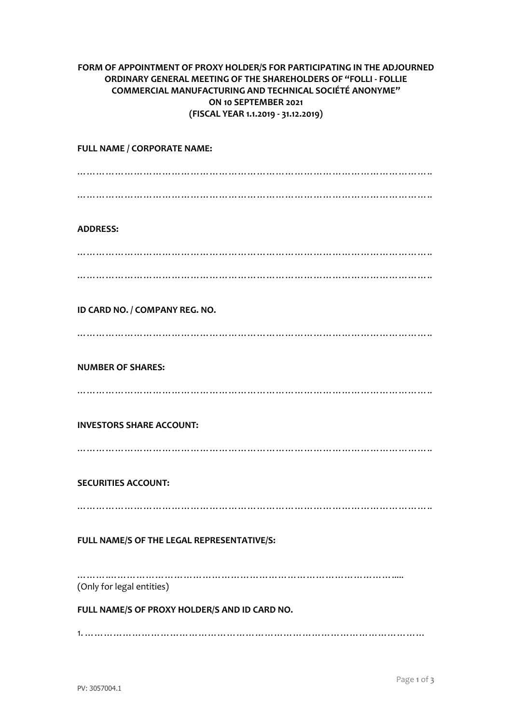## **FORM OF APPOINTMENT OF PROXY HOLDER/S FOR PARTICIPATING IN THE ADJOURNED ORDINARY GENERAL MEETING OF THE SHAREHOLDERS OF "FOLLI - FOLLIE COMMERCIAL MANUFACTURING AND TECHNICAL SOCIÉTÉ ANONYME" ON 10 SEPTEMBER 2021 (FISCAL YEAR 1.1.2019 - 31.12.2019)**

**FULL NAME / CORPORATE NAME:** ………………………………………………………………………………………………….. ………………………………………………………………………………………………….. **ADDRESS:** ………………………………………………………………………………………………….. ………………………………………………………………………………………………….. **ID CARD NO. / COMPANY REG. NO.** ………………………………………………………………………………………………….. **NUMBER OF SHARES:** ………………………………………………………………………………………………….. **INVESTORS SHARE ACCOUNT:** ………………………………………………………………………………………………….. **SECURITIES ACCOUNT:** ………………………………………………………………………………………………….. **FULL NAME/S OF THE LEGAL REPRESENTATIVE/S:** …………………………………………………………………………………………… (Only for legal entities)

**FULL NAME/S OF PROXY HOLDER/S AND ID CARD NO.**

1. ………………………………………………………………………………………………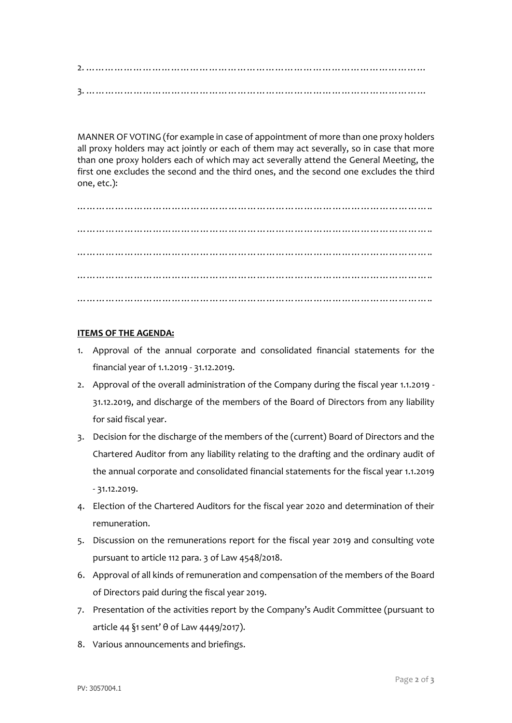2. ……………………………………………………………………………………………… 3. ………………………………………………………………………………………………

MANNER OF VOTING (for example in case of appointment of more than one proxy holders all proxy holders may act jointly or each of them may act severally, so in case that more than one proxy holders each of which may act severally attend the General Meeting, the first one excludes the second and the third ones, and the second one excludes the third one, etc.):

………………………………………………………………………………………………….. ………………………………………………………………………………………………….. ………………………………………………………………………………………………….. ………………………………………………………………………………………………….. …………………………………………………………………………………………………..

## **ITEMS OF THE AGENDA:**

- 1. Approval of the annual corporate and consolidated financial statements for the financial year of 1.1.2019 - 31.12.2019.
- 2. Approval of the overall administration of the Company during the fiscal year 1.1.2019 31.12.2019, and discharge of the members of the Board of Directors from any liability for said fiscal year.
- 3. Decision for the discharge of the members of the (current) Board of Directors and the Chartered Auditor from any liability relating to the drafting and the ordinary audit of the annual corporate and consolidated financial statements for the fiscal year 1.1.2019 - 31.12.2019.
- 4. Election of the Chartered Auditors for the fiscal year 2020 and determination of their remuneration.
- 5. Discussion on the remunerations report for the fiscal year 2019 and consulting vote pursuant to article 112 para. 3 of Law 4548/2018.
- 6. Approval of all kinds of remuneration and compensation of the members of the Board of Directors paid during the fiscal year 2019.
- 7. Presentation of the activities report by the Company's Audit Committee (pursuant to article 44 §1 sent' θ of Law 4449/2017).
- 8. Various announcements and briefings.